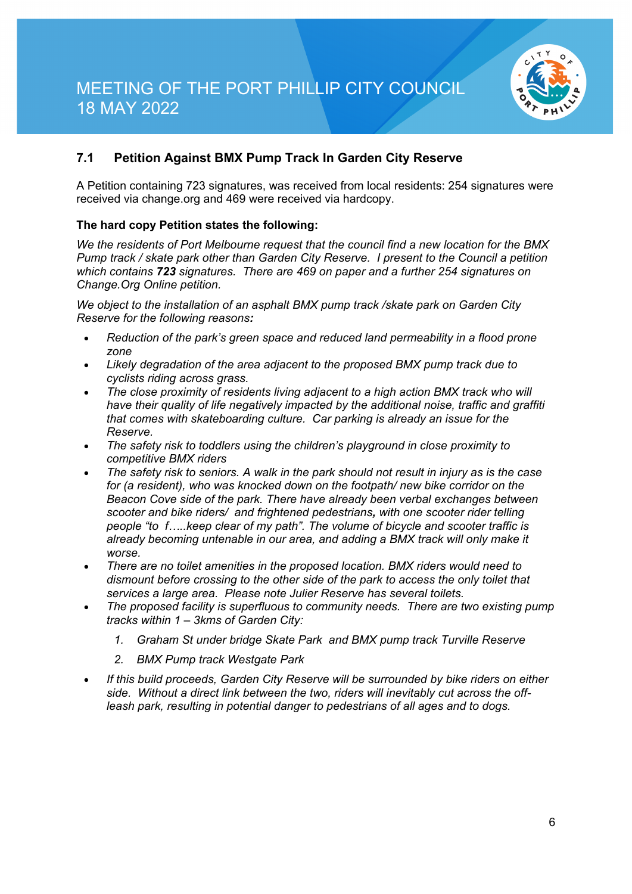

## **7.1 Petition Against BMX Pump Track In Garden City Reserve**

A Petition containing 723 signatures, was received from local residents: 254 signatures were received via change.org and 469 were received via hardcopy.

### **The hard copy Petition states the following:**

*We the residents of Port Melbourne request that the council find a new location for the BMX Pump track / skate park other than Garden City Reserve. I present to the Council a petition which contains 723 signatures. There are 469 on paper and a further 254 signatures on Change.Org Online petition.*

*We object to the installation of an asphalt BMX pump track /skate park on Garden City Reserve for the following reasons:*

- *Reduction of the park's green space and reduced land permeability in a flood prone zone*
- *Likely degradation of the area adjacent to the proposed BMX pump track due to cyclists riding across grass.*
- *The close proximity of residents living adjacent to a high action BMX track who will have their quality of life negatively impacted by the additional noise, traffic and graffiti that comes with skateboarding culture. Car parking is already an issue for the Reserve.*
- *The safety risk to toddlers using the children's playground in close proximity to competitive BMX riders*
- *The safety risk to seniors. A walk in the park should not result in injury as is the case for (a resident), who was knocked down on the footpath/ new bike corridor on the Beacon Cove side of the park. There have already been verbal exchanges between scooter and bike riders/ and frightened pedestrians, with one scooter rider telling people "to f…..keep clear of my path". The volume of bicycle and scooter traffic is already becoming untenable in our area, and adding a BMX track will only make it worse.*
- *There are no toilet amenities in the proposed location. BMX riders would need to dismount before crossing to the other side of the park to access the only toilet that services a large area. Please note Julier Reserve has several toilets.*
- *The proposed facility is superfluous to community needs. There are two existing pump tracks within 1 – 3kms of Garden City:*
	- *1. Graham St under bridge Skate Park and BMX pump track Turville Reserve*
	- *2. BMX Pump track Westgate Park*
- *If this build proceeds, Garden City Reserve will be surrounded by bike riders on either side. Without a direct link between the two, riders will inevitably cut across the offleash park, resulting in potential danger to pedestrians of all ages and to dogs.*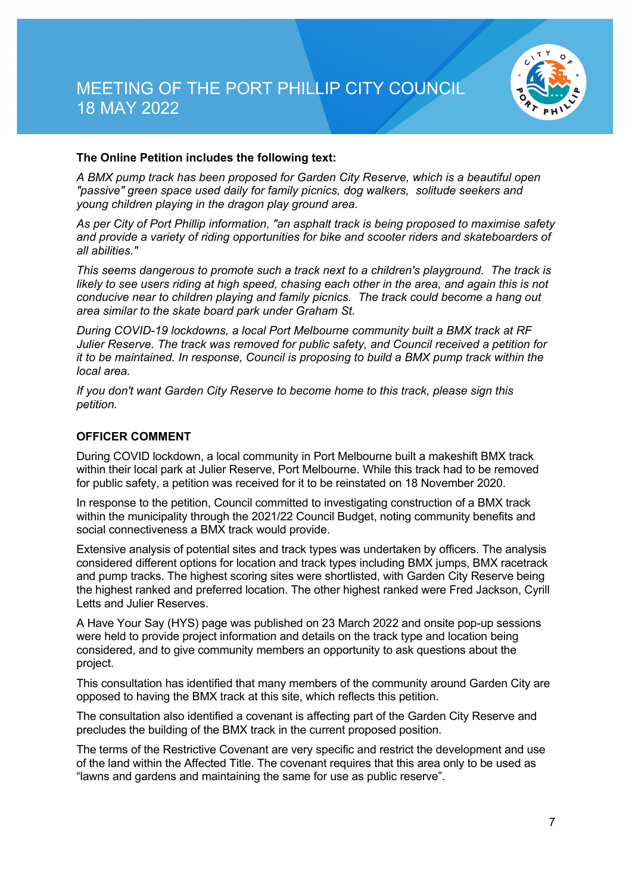

### **The Online Petition includes the following text:**

*A BMX pump track has been proposed for Garden City Reserve, which is a beautiful open "passive" green space used daily for family picnics, dog walkers, solitude seekers and young children playing in the dragon play ground area.*

*As per City of Port Phillip information, "an asphalt track is being proposed to maximise safety and provide a variety of riding opportunities for bike and scooter riders and skateboarders of all abilities."*

*This seems dangerous to promote such a track next to a children's playground. The track is likely to see users riding at high speed, chasing each other in the area, and again this is not conducive near to children playing and family picnics. The track could become a hang out area similar to the skate board park under Graham St.*

*During COVID-19 lockdowns, a local Port Melbourne community built a BMX track at RF Julier Reserve. The track was removed for public safety, and Council received a petition for it to be maintained. In response, Council is proposing to build a BMX pump track within the local area.*

*If you don't want Garden City Reserve to become home to this track, please sign this petition.*

#### **OFFICER COMMENT**

During COVID lockdown, a local community in Port Melbourne built a makeshift BMX track within their local park at Julier Reserve, Port Melbourne. While this track had to be removed for public safety, a petition was received for it to be reinstated on 18 November 2020.

In response to the petition, Council committed to investigating construction of a BMX track within the municipality through the 2021/22 Council Budget, noting community benefits and social connectiveness a BMX track would provide.

Extensive analysis of potential sites and track types was undertaken by officers. The analysis considered different options for location and track types including BMX jumps, BMX racetrack and pump tracks. The highest scoring sites were shortlisted, with Garden City Reserve being the highest ranked and preferred location. The other highest ranked were Fred Jackson, Cyrill Letts and Julier Reserves.

A Have Your Say (HYS) page was published on 23 March 2022 and onsite pop-up sessions were held to provide project information and details on the track type and location being considered, and to give community members an opportunity to ask questions about the project.

This consultation has identified that many members of the community around Garden City are opposed to having the BMX track at this site, which reflects this petition.

The consultation also identified a covenant is affecting part of the Garden City Reserve and precludes the building of the BMX track in the current proposed position.

The terms of the Restrictive Covenant are very specific and restrict the development and use of the land within the Affected Title. The covenant requires that this area only to be used as "lawns and gardens and maintaining the same for use as public reserve".